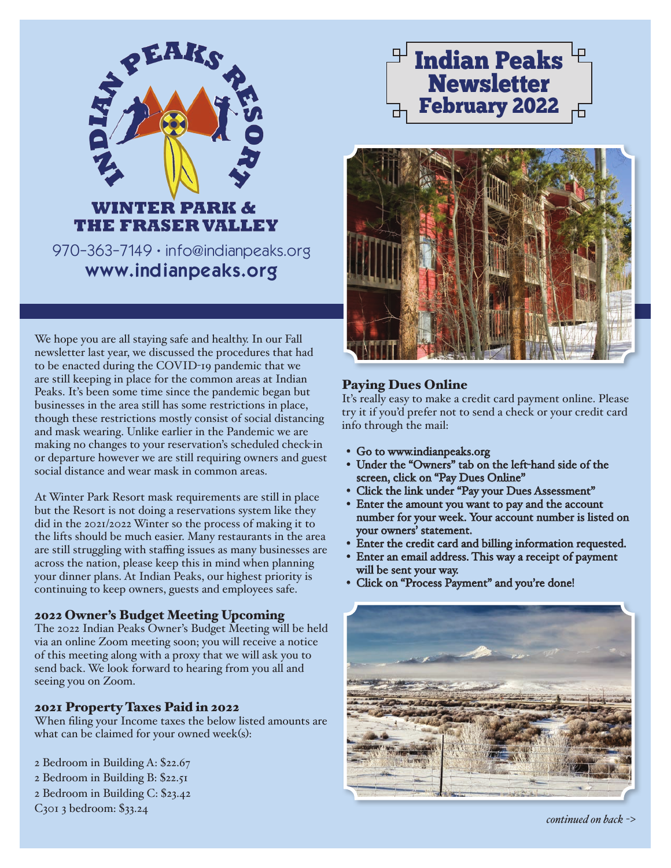

## NTHR PARK & THE FRASER VALLEY

970-363-7149 • info@indianpeaks.org www.indianpeaks.org

We hope you are all staying safe and healthy. In our Fall newsletter last year, we discussed the procedures that had to be enacted during the COVID-19 pandemic that we are still keeping in place for the common areas at Indian Peaks. It's been some time since the pandemic began but businesses in the area still has some restrictions in place, though these restrictions mostly consist of social distancing and mask wearing. Unlike earlier in the Pandemic we are making no changes to your reservation's scheduled check-in or departure however we are still requiring owners and guest social distance and wear mask in common areas.

At Winter Park Resort mask requirements are still in place but the Resort is not doing a reservations system like they did in the 2021/2022 Winter so the process of making it to the lifts should be much easier. Many restaurants in the area are still struggling with staffing issues as many businesses are across the nation, please keep this in mind when planning your dinner plans. At Indian Peaks, our highest priority is continuing to keep owners, guests and employees safe.

## 2022 Owner's Budget Meeting Upcoming

The 2022 Indian Peaks Owner's Budget Meeting will be held via an online Zoom meeting soon; you will receive a notice of this meeting along with a proxy that we will ask you to send back. We look forward to hearing from you all and seeing you on Zoom.

#### 2021 Property Taxes Paid in 2022

When filing your Income taxes the below listed amounts are what can be claimed for your owned week(s):

- 2 Bedroom in Building A: \$22.67
- 2 Bedroom in Building B: \$22.51
- 2 Bedroom in Building C: \$23.42

C301 3 bedroom: \$33.24





## Paying Dues Online

It's really easy to make a credit card payment online. Please try it if you'd prefer not to send a check or your credit card info through the mail:

- Go to www.indianpeaks.org
- Under the "Owners" tab on the left-hand side of the screen, click on "Pay Dues Online"
- Click the link under "Pay your Dues Assessment"
- Enter the amount you want to pay and the account number for your week. Your account number is listed on your owners' statement.
- Enter the credit card and billing information requested.
- Enter an email address. This way a receipt of payment will be sent your way.
- Click on "Process Payment" and you're done!



*continued on back* ->